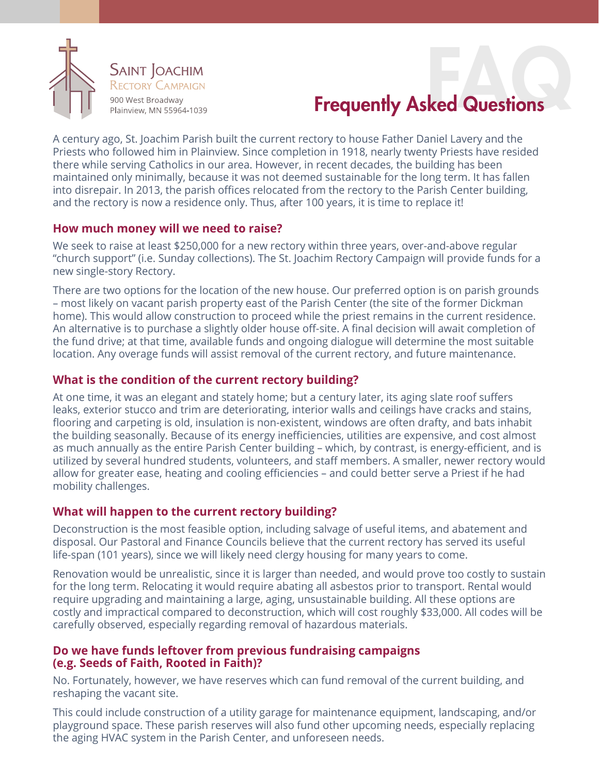

# **Frequently Asked Questions**

A century ago, St. Joachim Parish built the current rectory to house Father Daniel Lavery and the Priests who followed him in Plainview. Since completion in 1918, nearly twenty Priests have resided there while serving Catholics in our area. However, in recent decades, the building has been maintained only minimally, because it was not deemed sustainable for the long term. It has fallen into disrepair. In 2013, the parish offices relocated from the rectory to the Parish Center building, and the rectory is now a residence only. Thus, after 100 years, it is time to replace it!

## **How much money will we need to raise?**

We seek to raise at least \$250,000 for a new rectory within three years, over-and-above regular "church support" (i.e. Sunday collections). The St. Joachim Rectory Campaign will provide funds for a new single-story Rectory.

There are two options for the location of the new house. Our preferred option is on parish grounds – most likely on vacant parish property east of the Parish Center (the site of the former Dickman home). This would allow construction to proceed while the priest remains in the current residence. An alternative is to purchase a slightly older house off-site. A final decision will await completion of the fund drive; at that time, available funds and ongoing dialogue will determine the most suitable location. Any overage funds will assist removal of the current rectory, and future maintenance.

## **What is the condition of the current rectory building?**

At one time, it was an elegant and stately home; but a century later, its aging slate roof suffers leaks, exterior stucco and trim are deteriorating, interior walls and ceilings have cracks and stains, flooring and carpeting is old, insulation is non-existent, windows are often drafty, and bats inhabit the building seasonally. Because of its energy inefficiencies, utilities are expensive, and cost almost as much annually as the entire Parish Center building – which, by contrast, is energy-efficient, and is utilized by several hundred students, volunteers, and staff members. A smaller, newer rectory would allow for greater ease, heating and cooling efficiencies – and could better serve a Priest if he had mobility challenges.

# **What will happen to the current rectory building?**

Deconstruction is the most feasible option, including salvage of useful items, and abatement and disposal. Our Pastoral and Finance Councils believe that the current rectory has served its useful life-span (101 years), since we will likely need clergy housing for many years to come.

Renovation would be unrealistic, since it is larger than needed, and would prove too costly to sustain for the long term. Relocating it would require abating all asbestos prior to transport. Rental would require upgrading and maintaining a large, aging, unsustainable building. All these options are costly and impractical compared to deconstruction, which will cost roughly \$33,000. All codes will be carefully observed, especially regarding removal of hazardous materials.

## **Do we have funds leftover from previous fundraising campaigns (e.g. Seeds of Faith, Rooted in Faith)?**

No. Fortunately, however, we have reserves which can fund removal of the current building, and reshaping the vacant site.

This could include construction of a utility garage for maintenance equipment, landscaping, and/or playground space. These parish reserves will also fund other upcoming needs, especially replacing the aging HVAC system in the Parish Center, and unforeseen needs.